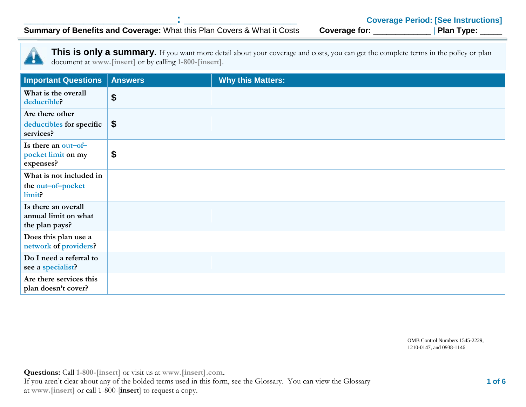**Summary of Benefits and Coverage: What this Plan Covers & What it Costs** 

This is only a summary. If you want more detail about your coverage and costs, you can get the complete terms in the policy or plan document at **www.[insert]** or by calling **1-800-[insert]**.

| <b>Important Questions</b>                                    | <b>Answers</b> | <b>Why this Matters:</b> |
|---------------------------------------------------------------|----------------|--------------------------|
| What is the overall<br>deductible?                            | \$             |                          |
| Are there other<br>deductibles for specific<br>services?      | \$             |                          |
| Is there an out-of-<br>pocket limit on my<br>expenses?        | \$             |                          |
| What is not included in                                       |                |                          |
| the out-of-pocket<br>limit?                                   |                |                          |
| Is there an overall<br>annual limit on what<br>the plan pays? |                |                          |
| Does this plan use a<br>network of providers?                 |                |                          |
| Do I need a referral to<br>see a specialist?                  |                |                          |
| Are there services this<br>plan doesn't cover?                |                |                          |

OMB Control Numbers 1545-2229, 1210-0147, and 0938-1146

**Questions:** Call **1-800-[insert]** or visit us at **www.[insert].com.** If you aren't clear about any of the bolded terms used in this form, see the Glossary. You can view the Glossary at **www.[insert]** or call 1-800-[**insert**] to request a copy.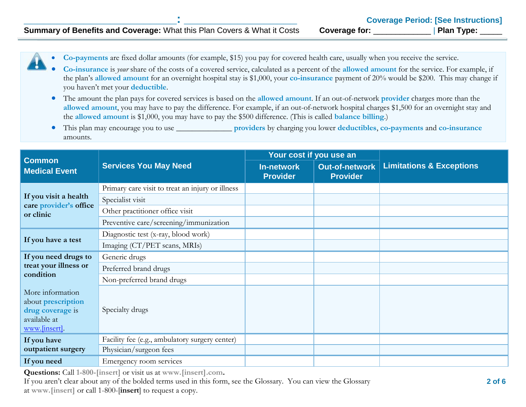**Co-payments** are fixed dollar amounts (for example, \$15) you pay for covered health care, usually when you receive the service.

- **Co-insurance** is *your* share of the costs of a covered service, calculated as a percent of the **allowed amount** for the service. For example, if the plan's **allowed amount** for an overnight hospital stay is \$1,000, your **co-insurance** payment of 20% would be \$200. This may change if you haven't met your **deductible**.
- The amount the plan pays for covered services is based on the **allowed amount**. If an out-of-network **provider** charges more than the **allowed amount**, you may have to pay the difference. For example, if an out-of-network hospital charges \$1,500 for an overnight stay and the **allowed amount** is \$1,000, you may have to pay the \$500 difference. (This is called **balance billing**.)
- This plan may encourage you to use \_\_\_\_\_\_\_\_\_\_\_\_\_\_ **providers** by charging you lower **deductibles**, **co-payments** and **co-insurance** amounts.

| <b>Common</b>                       | <b>Services You May Need</b>                     | Your cost if you use an              |                                          |                                     |
|-------------------------------------|--------------------------------------------------|--------------------------------------|------------------------------------------|-------------------------------------|
| <b>Medical Event</b>                |                                                  | <b>In-network</b><br><b>Provider</b> | <b>Out-of-network</b><br><b>Provider</b> | <b>Limitations &amp; Exceptions</b> |
|                                     | Primary care visit to treat an injury or illness |                                      |                                          |                                     |
| If you visit a health               | Specialist visit                                 |                                      |                                          |                                     |
| care provider's office<br>or clinic | Other practitioner office visit                  |                                      |                                          |                                     |
|                                     | Preventive care/screening/immunization           |                                      |                                          |                                     |
| If you have a test                  | Diagnostic test (x-ray, blood work)              |                                      |                                          |                                     |
|                                     | Imaging (CT/PET scans, MRIs)                     |                                      |                                          |                                     |
| If you need drugs to                | Generic drugs                                    |                                      |                                          |                                     |
| treat your illness or<br>condition  | Preferred brand drugs                            |                                      |                                          |                                     |
|                                     | Non-preferred brand drugs                        |                                      |                                          |                                     |
| More information                    |                                                  |                                      |                                          |                                     |
| about prescription                  |                                                  |                                      |                                          |                                     |
| drug coverage is<br>available at    | Specialty drugs                                  |                                      |                                          |                                     |
| www.[insert].                       |                                                  |                                      |                                          |                                     |
| If you have                         | Facility fee (e.g., ambulatory surgery center)   |                                      |                                          |                                     |
| outpatient surgery                  | Physician/surgeon fees                           |                                      |                                          |                                     |
| If you need                         | Emergency room services                          |                                      |                                          |                                     |

**Questions:** Call **1-800-[insert]** or visit us at **www.[insert].com.**

If you aren't clear about any of the bolded terms used in this form, see the Glossary. You can view the Glossary at **www.[insert]** or call 1-800-[**insert**] to request a copy.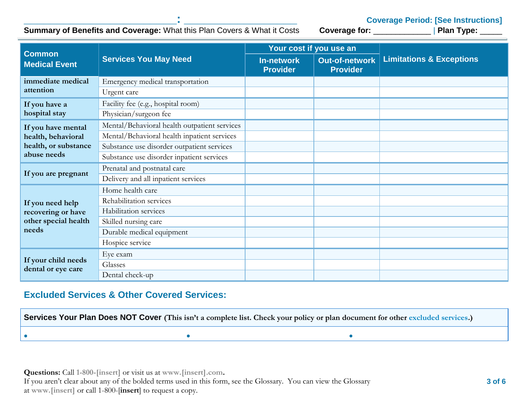**Coverage Period: [See Instructions]**<br>Coverage for: \_\_\_\_\_\_\_\_\_\_\_\_\_\_\_\_\_\_\_\_\_ | Plan Type: \_\_\_\_\_\_\_

## **Summary of Benefits and Coverage: What this Plan Covers & What it Costs**

| <b>Common</b>                                                           | <b>Services You May Need</b>                 |                                      | Your cost if you use an                  |                                     |
|-------------------------------------------------------------------------|----------------------------------------------|--------------------------------------|------------------------------------------|-------------------------------------|
| <b>Medical Event</b>                                                    |                                              | <b>In-network</b><br><b>Provider</b> | <b>Out-of-network</b><br><b>Provider</b> | <b>Limitations &amp; Exceptions</b> |
| immediate medical                                                       | Emergency medical transportation             |                                      |                                          |                                     |
| attention                                                               | Urgent care                                  |                                      |                                          |                                     |
| If you have a                                                           | Facility fee (e.g., hospital room)           |                                      |                                          |                                     |
| hospital stay                                                           | Physician/surgeon fee                        |                                      |                                          |                                     |
| If you have mental                                                      | Mental/Behavioral health outpatient services |                                      |                                          |                                     |
| health, behavioral                                                      | Mental/Behavioral health inpatient services  |                                      |                                          |                                     |
| health, or substance                                                    | Substance use disorder outpatient services   |                                      |                                          |                                     |
| abuse needs                                                             | Substance use disorder inpatient services    |                                      |                                          |                                     |
| If you are pregnant                                                     | Prenatal and postnatal care                  |                                      |                                          |                                     |
|                                                                         | Delivery and all inpatient services          |                                      |                                          |                                     |
|                                                                         | Home health care                             |                                      |                                          |                                     |
| If you need help<br>recovering or have<br>other special health<br>needs | Rehabilitation services                      |                                      |                                          |                                     |
|                                                                         | Habilitation services                        |                                      |                                          |                                     |
|                                                                         | Skilled nursing care                         |                                      |                                          |                                     |
|                                                                         | Durable medical equipment                    |                                      |                                          |                                     |
|                                                                         | Hospice service                              |                                      |                                          |                                     |
|                                                                         | Eye exam                                     |                                      |                                          |                                     |
| If your child needs<br>dental or eye care                               | Glasses                                      |                                      |                                          |                                     |
|                                                                         | Dental check-up                              |                                      |                                          |                                     |

### **Excluded Services & Other Covered Services:**

**Services Your Plan Does NOT Cover** (This isn't a complete list. Check your policy or plan document for other excluded services.)

**Questions:** Call **1-800-[insert]** or visit us at **www.[insert].com.** If you aren't clear about any of the bolded terms used in this form, see the Glossary. You can view the Glossary at **www.[insert]** or call 1-800-[**insert**] to request a copy.

 $\bullet$  . The contract of the contract of the contract of the contract of the contract of the contract of the contract of the contract of the contract of the contract of the contract of the contract of the contract of the co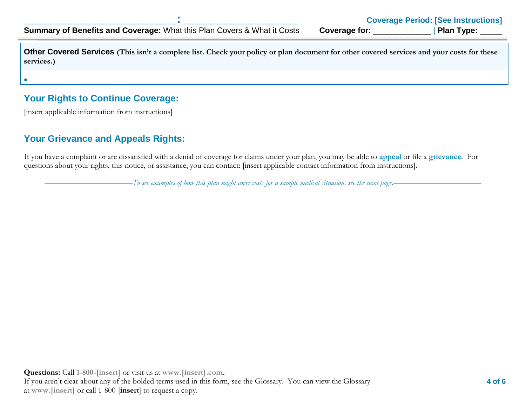**Other Covered Services** (This isn't a complete list. Check your policy or plan document for other covered services and your costs for these **services.)**

## **Your Rights to Continue Coverage:**

[insert applicable information from instructions]

 $\bullet$ 

### **Your Grievance and Appeals Rights:**

If you have a complaint or are dissatisfied with a denial of coverage for claims under your plan, you may be able to **appeal** or file a **grievance**. For questions about your rights, this notice, or assistance, you can contact: [insert applicable contact information from instructions].

––––––––––––––––––––––*To see examples of how this plan might cover costs for a sample medical situation, see the next page.–––––––––––*–––––––––––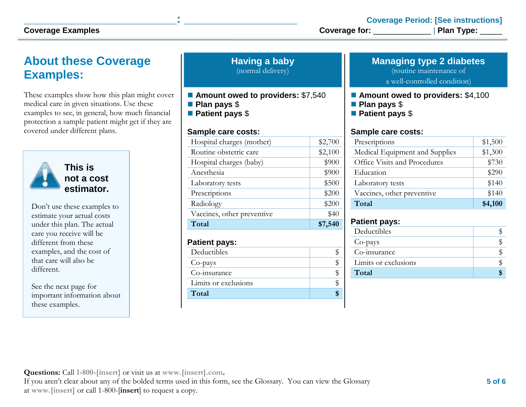# **About these Coverage Examples:**

These examples show how this plan might cover medical care in given situations. Use these examples to see, in general, how much financial protection a sample patient might get if they are covered under different plans.



**This is not a cost estimator.** 

Don't use these examples to estimate your actual costs under this plan. The actual care you receive will be different from these examples, and the cost of that care will also be different.

See the next page for important information about these examples.

| <b>Having a baby</b> |  |
|----------------------|--|
| (normal delivery)    |  |

- Amount owed to providers: \$7,540
- **Plan pays** \$
- **Patient pays** \$

#### **Sample care costs:**

| Total                      | \$7,540 |
|----------------------------|---------|
| Vaccines, other preventive | \$40    |
| Radiology                  | \$200   |
| Prescriptions              | \$200   |
| Laboratory tests           | \$500   |
| Anesthesia                 | \$900   |
| Hospital charges (baby)    | \$900   |
| Routine obstetric care     | \$2,100 |
| Hospital charges (mother)  | \$2,700 |
|                            |         |

### **Patient pays:**

| Deductibles          |  |
|----------------------|--|
| Co-pays              |  |
| Co-insurance         |  |
| Limits or exclusions |  |
| Total                |  |

### **Managing type 2 diabetes**

(routine maintenance of

a well-controlled condition)

#### ■ **Amount owed to providers: \$4,100**

- **Plan pays** \$
- **Patient pays** \$

#### **Sample care costs:**

| Prescriptions                  | \$1,500 |
|--------------------------------|---------|
| Medical Equipment and Supplies | \$1,300 |
| Office Visits and Procedures   | \$730   |
| Education                      | \$290   |
| Laboratory tests               | \$140   |
| Vaccines, other preventive     | \$140   |
| Total                          | \$4,100 |

### **Patient pays:**

| Deductibles          |  |
|----------------------|--|
| Co-pays              |  |
| Co-insurance         |  |
| Limits or exclusions |  |
| Total                |  |
|                      |  |